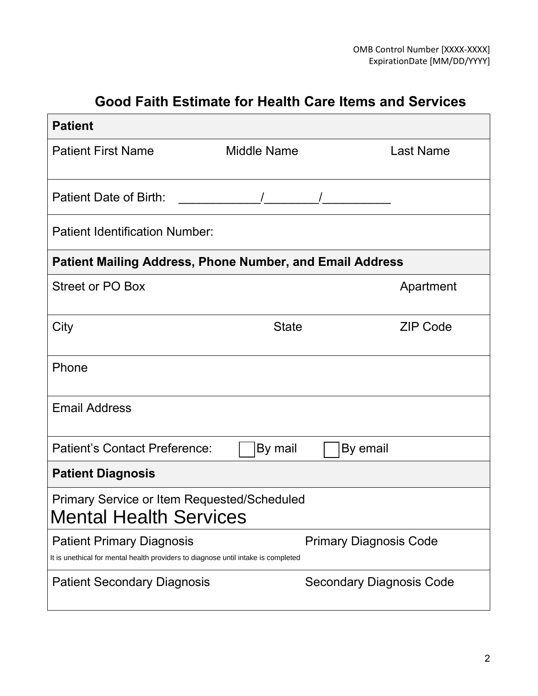# **Good Faith Estimate for Health Care Items and Services**

| <b>Patient</b>                                                                                                        |                    |                                 |  |  |  |  |
|-----------------------------------------------------------------------------------------------------------------------|--------------------|---------------------------------|--|--|--|--|
| <b>Patient First Name</b>                                                                                             | <b>Middle Name</b> | <b>Last Name</b>                |  |  |  |  |
| <b>Patient Date of Birth:</b>                                                                                         |                    |                                 |  |  |  |  |
| <b>Patient Identification Number:</b>                                                                                 |                    |                                 |  |  |  |  |
| <b>Patient Mailing Address, Phone Number, and Email Address</b>                                                       |                    |                                 |  |  |  |  |
| <b>Street or PO Box</b>                                                                                               |                    | Apartment                       |  |  |  |  |
| City                                                                                                                  | <b>State</b>       | <b>ZIP Code</b>                 |  |  |  |  |
| Phone                                                                                                                 |                    |                                 |  |  |  |  |
| <b>Email Address</b>                                                                                                  |                    |                                 |  |  |  |  |
| <b>Patient's Contact Preference:</b>                                                                                  | By mail            | By email                        |  |  |  |  |
| <b>Patient Diagnosis</b>                                                                                              |                    |                                 |  |  |  |  |
| <b>Primary Service or Item Requested/Scheduled</b><br><b>Mental Health Services</b>                                   |                    |                                 |  |  |  |  |
| <b>Patient Primary Diagnosis</b><br>It is unethical for mental health providers to diagnose until intake is completed |                    | <b>Primary Diagnosis Code</b>   |  |  |  |  |
| <b>Patient Secondary Diagnosis</b>                                                                                    |                    | <b>Secondary Diagnosis Code</b> |  |  |  |  |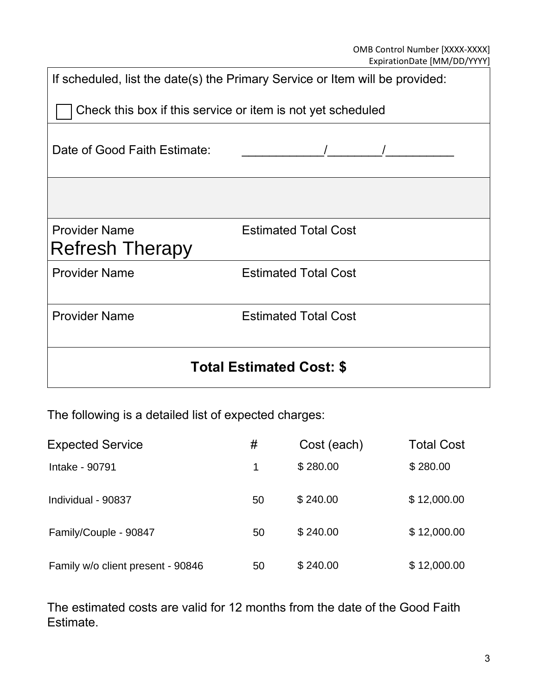| If scheduled, list the date(s) the Primary Service or Item will be provided: |                             |  |  |  |  |
|------------------------------------------------------------------------------|-----------------------------|--|--|--|--|
| Check this box if this service or item is not yet scheduled                  |                             |  |  |  |  |
| Date of Good Faith Estimate:                                                 |                             |  |  |  |  |
|                                                                              |                             |  |  |  |  |
| <b>Provider Name</b><br><b>Refresh Therapy</b>                               | <b>Estimated Total Cost</b> |  |  |  |  |
| <b>Provider Name</b>                                                         | <b>Estimated Total Cost</b> |  |  |  |  |
| <b>Provider Name</b>                                                         | <b>Estimated Total Cost</b> |  |  |  |  |
| <b>Total Estimated Cost: \$</b>                                              |                             |  |  |  |  |

The following is a detailed list of expected charges:

| <b>Expected Service</b>           | #  | Cost (each) | <b>Total Cost</b> |
|-----------------------------------|----|-------------|-------------------|
| Intake - 90791                    |    | \$280.00    | \$280.00          |
| Individual - 90837                | 50 | \$240.00    | \$12,000.00       |
| Family/Couple - 90847             | 50 | \$240.00    | \$12,000.00       |
| Family w/o client present - 90846 | 50 | \$240.00    | \$12,000.00       |

The estimated costs are valid for 12 months from the date of the Good Faith Estimate.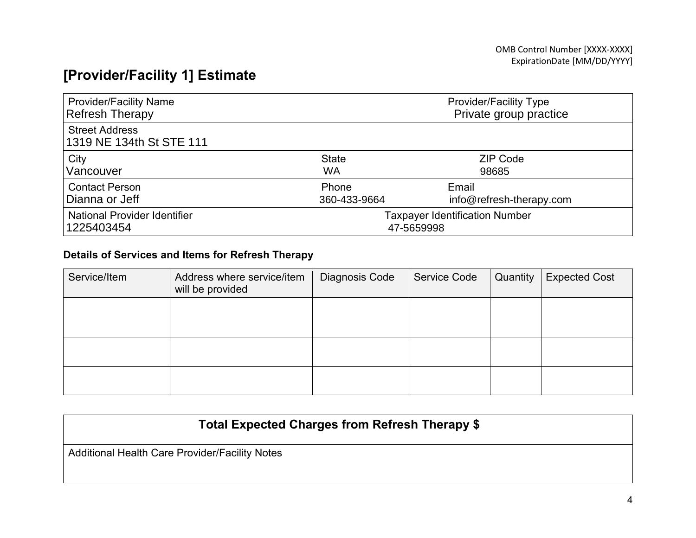# **[Provider/Facility 1] Estimate**

| <b>Provider/Facility Name</b>                     | <b>Provider/Facility Type</b>         |                          |  |
|---------------------------------------------------|---------------------------------------|--------------------------|--|
| <b>Refresh Therapy</b>                            | Private group practice                |                          |  |
| <b>Street Address</b><br>1319 NE 134th St STE 111 |                                       |                          |  |
| City                                              | <b>State</b>                          | <b>ZIP Code</b>          |  |
| Vancouver                                         | <b>WA</b>                             | 98685                    |  |
| <b>Contact Person</b>                             | Phone                                 | Email                    |  |
| Dianna or Jeff                                    | 360-433-9664                          | info@refresh-therapy.com |  |
| <b>National Provider Identifier</b>               | <b>Taxpayer Identification Number</b> |                          |  |
| 1225403454                                        | 47-5659998                            |                          |  |

#### **Details of Services and Items for Refresh Therapy**

| Service/Item | Address where service/item<br>will be provided | Diagnosis Code | Service Code | Quantity | <b>Expected Cost</b> |
|--------------|------------------------------------------------|----------------|--------------|----------|----------------------|
|              |                                                |                |              |          |                      |
|              |                                                |                |              |          |                      |
|              |                                                |                |              |          |                      |

## **Total Expected Charges from Refresh Therapy \$**

Additional Health Care Provider/Facility Notes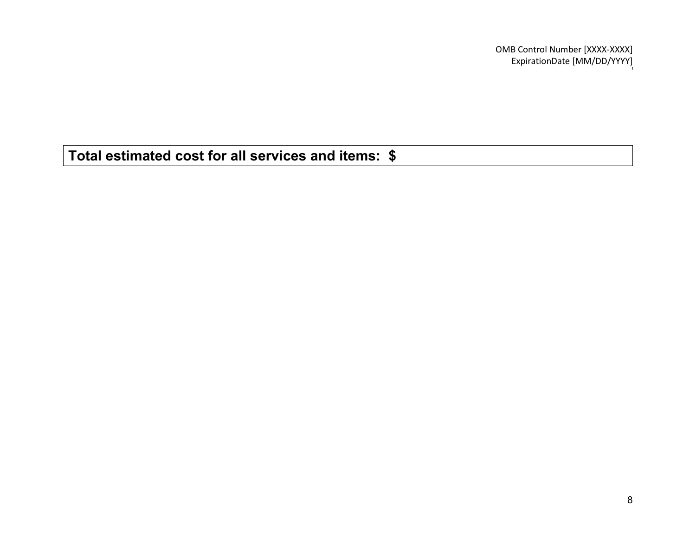OMB Control Number [XXXX-XXXX] ExpirationDate [MM/DD/YYYY]

**Total estimated cost for all services and items: \$**